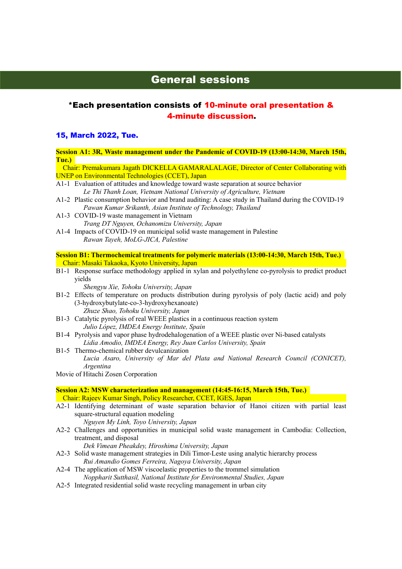# General sessions

# \*Each presentation consists of 10-minute oral presentation & 4-minute discussion.

#### 15, March 2022, Tue.

Session A1: 3R, Waste management under the Pandemic of COVID-19 (13:00-14:30, March 15th, Tue.)

 Chair: Premakumara Jagath DICKELLA GAMARALALAGE, Director of Center Collaborating with UNEP on Environmental Technologies (CCET), Japan

- A1-1 Evaluation of attitudes and knowledge toward waste separation at source behavior Le Thi Thanh Loan, Vietnam National University of Agriculture, Vietnam
- A1-2 Plastic consumption behavior and brand auditing: A case study in Thailand during the COVID-19 Pawan Kumar Srikanth, Asian Institute of Technology, Thailand
- A1-3 COVID-19 waste management in Vietnam Trang DT Nguyen, Ochanomizu University, Japan
- A1-4 Impacts of COVID-19 on municipal solid waste management in Palestine Rawan Tayeh, MoLG-JICA, Palestine

Session B1: Thermochemical treatments for polymeric materials (13:00-14:30, March 15th, Tue.) Chair: Masaki Takaoka, Kyoto University, Japan

B1-1 Response surface methodology applied in xylan and polyethylene co-pyrolysis to predict product yields

Shengyu Xie, Tohoku University, Japan

- B1-2 Effects of temperature on products distribution during pyrolysis of poly (lactic acid) and poly (3-hydroxybutylate-co-3-hydroxyhexanoate) Zhuze Shao, Tohoku University, Japan
- B1-3 Catalytic pyrolysis of real WEEE plastics in a continuous reaction system Julio López, IMDEA Energy Institute, Spain
- B1-4 Pyrolysis and vapor phase hydrodehalogenation of a WEEE plastic over Ni-based catalysts Lidia Amodio, IMDEA Energy, Rey Juan Carlos University, Spain
- B1-5 Thermo-chemical rubber devulcanization

 Lucia Asaro, University of Mar del Plata and National Research Council (CONICET), Argentina

Movie of Hitachi Zosen Corporation

Session A2: MSW characterization and management (14:45-16:15, March 15th, Tue.) Chair: Rajeev Kumar Singh, Policy Researcher, CCET, IGES, Japan

A2-1 Identifying determinant of waste separation behavior of Hanoi citizen with partial least square-structural equation modeling

Nguyen My Linh, Toyo University, Japan

A2-2 Challenges and opportunities in municipal solid waste management in Cambodia: Collection, treatment, and disposal

Dek Vimean Pheakdey, Hiroshima University, Japan

- A2-3 Solid waste management strategies in Dili Timor-Leste using analytic hierarchy process Rui Amandio Gomes Ferreira, Nagoya University, Japan
- A2-4 The application of MSW viscoelastic properties to the trommel simulation Noppharit Sutthasil, National Institute for Environmental Studies, Japan
- A2-5 Integrated residential solid waste recycling management in urban city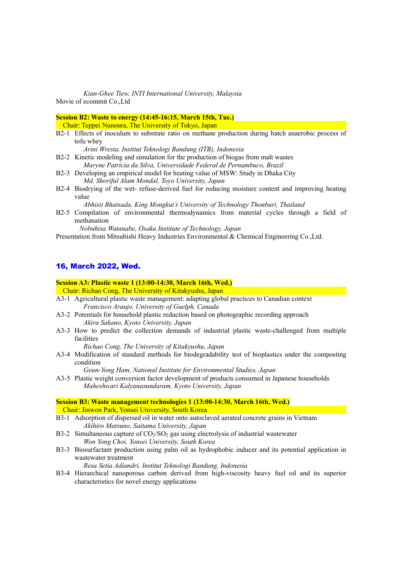Kian-Ghee Tiew, INTI International University, Malaysia Movie of ecommit Co.,Ltd

Session B2: Waste to energy (14:45-16:15, March 15th, Tue.)

Chair: Teppei Nunoura, The University of Tokyo, Japan

B2-1 Effects of inoculum to substrate ratio on methane production during batch anaerobic process of tofu whey

Arini Wresta, Institut Teknologi Bandung (ITB), Indonesia

- B2-2 Kinetic modeling and simulation for the production of biogas from malt wastes Maryne Patrícia da Silva, Universidade Federal de Pernambuco, Brazil
- B2-3 Developing an empirical model for heating value of MSW: Study in Dhaka City Md. Shoriful Alam Mondal, Toyo University, Japan
- B2-4 Biodrying of the wet- refuse-derived fuel for reducing moisture content and improving heating value

Abhisit Bhatsada, King Mongkut's University of Technology Thonburi, Thailand

B2-5 Compilation of environmental thermodynamics from material cycles through a field of methanation

Nobuhisa Watanabe, Osaka Institute of Technology, Japan

Presentation from Mitsubishi Heavy Industries Environmental & Chemical Engineering Co.,Ltd.

### 16, March 2022, Wed.

#### Session A3: Plastic waste 1 (13:00-14:30, March 16th, Wed.)

Chair: Richao Cong, The University of Kitakyushu, Japan

- A3-1 Agricultural plastic waste management: adapting global practices to Canadian context Francisco Araujo, University of Guelph, Canada
- A3-2 Potentials for household plastic reduction based on photographic recording approach Akira Sakano, Kyoto University, Japan
- A3-3 How to predict the collection demands of industrial plastic waste-challenged from multiple facilities

Richao Cong, The University of Kitakyushu, Japan

A3-4 Modification of standard methods for biodegradability test of bioplastics under the composting condition

Geun-Yong Ham, National Institute for Environmental Studies, Japan

A3-5 Plastic weight conversion factor development of products consumed in Japanese households Maheshwari Kalyanasundaram, Kyoto University, Japan

Session B3: Waste management technologies 1 (13:00-14:30, March 16th, Wed.) Chair: Jinwon Park, Yonsei University, South Korea

- B3-1 Adsorption of dispersed oil in water onto autoclaved aerated concrete grains in Vietnam Akihiro Matsuno, Saitama University, Japan
- B3-2 Simultaneous capture of  $CO<sub>2</sub>/SO<sub>2</sub>$  gas using electrolysis of industrial wastewater Won Yong Choi, Yonsei University, South Korea
- B3-3 Biosurfactant production using palm oil as hydrophobic inducer and its potential application in wastewater treatment Resa Setia Adiandri, Institut Teknologi Bandung, Indonesia
- B3-4 Hierarchical nanoporous carbon derived from high-viscosity heavy fuel oil and its superior characteristics for novel energy applications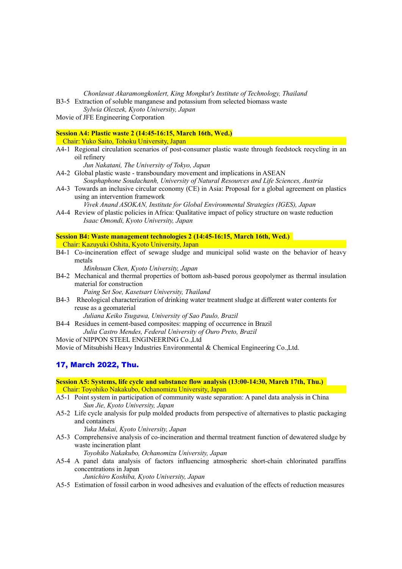Chonlawat Akaramongkonlert, King Mongkut's Institute of Technology, Thailand

B3-5 Extraction of soluble manganese and potassium from selected biomass waste

Sylwia Oleszek, Kyoto University, Japan

Movie of JFE Engineering Corporation

# Session A4: Plastic waste 2 (14:45-16:15, March 16th, Wed.)

Chair: Yuko Saito, Tohoku University, Japan

A4-1 Regional circulation scenarios of post-consumer plastic waste through feedstock recycling in an oil refinery

Jun Nakatani, The University of Tokyo, Japan

- A4-2 Global plastic waste transboundary movement and implications in ASEAN Souphaphone Soudachanh, University of Natural Resources and Life Sciences, Austria
- A4-3 Towards an inclusive circular economy (CE) in Asia: Proposal for a global agreement on plastics using an intervention framework

Vivek Anand ASOKAN, Institute for Global Environmental Strategies (IGES), Japan

A4-4 Review of plastic policies in Africa: Qualitative impact of policy structure on waste reduction Isaac Omondi, Kyoto University, Japan

Session B4: Waste management technologies 2 (14:45-16:15, March 16th, Wed.) Chair: Kazuyuki Oshita, Kyoto University, Japan

B4-1 Co-incineration effect of sewage sludge and municipal solid waste on the behavior of heavy metals

Minhsuan Chen, Kyoto University, Japan

B4-2 Mechanical and thermal properties of bottom ash-based porous geopolymer as thermal insulation material for construction

Paing Set Soe, Kasetsart University, Thailand

B4-3 Rheological characterization of drinking water treatment sludge at different water contents for reuse as a geomaterial

Juliana Keiko Tsugawa, University of Sao Paulo, Brazil

B4-4 Residues in cement-based composites: mapping of occurrence in Brazil Julia Castro Mendes, Federal University of Ouro Preto, Brazil

Movie of NIPPON STEEL ENGINEERING Co.,Ltd

Movie of Mitsubishi Heavy Industries Environmental & Chemical Engineering Co.,Ltd.

### 17, March 2022, Thu.

Session A5: Systems, life cycle and substance flow analysis (13:00-14:30, March 17th, Thu.) Chair: Toyohiko Nakakubo, Ochanomizu University, Japan

- A5-1 Point system in participation of community waste separation: A panel data analysis in China Sun Jie, Kyoto University, Japan
- A5-2 Life cycle analysis for pulp molded products from perspective of alternatives to plastic packaging and containers

Yuka Mukai, Kyoto University, Japan

A5-3 Comprehensive analysis of co-incineration and thermal treatment function of dewatered sludge by waste incineration plant

Toyohiko Nakakubo, Ochanomizu University, Japan

A5-4 A panel data analysis of factors influencing atmospheric short-chain chlorinated paraffins concentrations in Japan

Junichiro Koshiba, Kyoto University, Japan

A5-5 Estimation of fossil carbon in wood adhesives and evaluation of the effects of reduction measures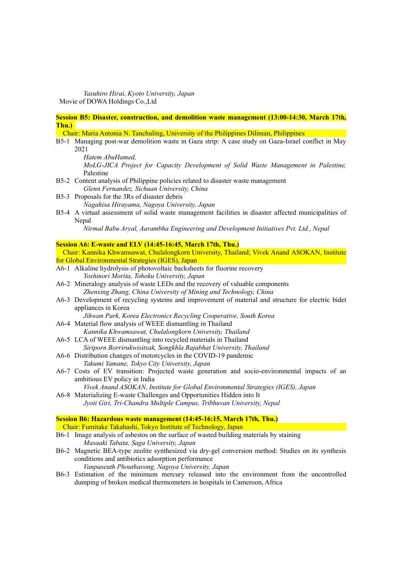Yasuhiro Hirai, Kyoto University, Japan Movie of DOWA Holdings Co.,Ltd

Session B5: Disaster, construction, and demolition waste management (13:00-14:30, March 17th, Thu.)

Chair: Maria Antonia N. Tanchuling, University of the Philippines Diliman, Philippines

B5-1 Managing post-war demolition waste in Gaza strip: A case study on Gaza-Israel conflict in May 2021

Hatem AbuHamed,

 MoLG-JICA Project for Capacity Development of Solid Waste Management in Palestine, Palestine

- B5-2 Content analysis of Philippine policies related to disaster waste management Glenn Fernandez, Sichuan University, China
- B5-3 Proposals for the 3Rs of disaster debris Nagahisa Hirayama, Nagoya University, Japan
- B5-4 A virtual assessment of solid waste management facilities in disaster affected municipalities of Nepal

Nirmal Babu Aryal, Aarambha Engineering and Development Initiatives Pvt. Ltd., Nepal

#### Session A6: E-waste and ELV (14:45-16:45, March 17th, Thu.)

 Chair: Kannika Khwamsawat, Chulalongkorn University, Thailand; Vivek Anand ASOKAN, Institute for Global Environmental Strategies (IGES), Japan A6-1 Alkaline hydrolysis of photovoltaic backsheets for fluorine recovery

- Yoshinori Morita, Tohoku University, Japan
- A6-2 Mineralogy analysis of waste LEDs and the recovery of valuable components Zhenxing Zhang, China University of Mining and Technology, China
- A6-3 Development of recycling systems and improvement of material and structure for electric bidet appliances in Korea

Jihwan Park, Korea Electronics Recycling Cooperative, South Korea

- A6-4 Material flow analysis of WEEE dismantling in Thailand Kannika Khwamsawat, Chulalongkorn University, Thailand
- A6-5 LCA of WEEE dismantling into recycled materials in Thailand Siriporn Borrirukwisitsak, Songkhla Rajabhat University, Thailand
- A6-6 Distribution changes of motorcycles in the COVID-19 pandemic Takumi Yamane, Tokyo City University, Japan
- A6-7 Costs of EV transition: Projected waste generation and socio-environmental impacts of an ambitious EV policy in India

```
 Vivek Anand ASOKAN, Institute for Global Environmental Strategies (IGES), Japan
```
A6-8 Materializing E-waste Challenges and Opportunities Hidden into It Jyoti Giri, Tri-Chandra Multiple Campus, Tribhuvan University, Nepal

### Session B6: Hazardous waste management (14:45-16:15, March 17th, Thu.)

Chair: Fumitake Takahashi, Tokyo Institute of Technology, Japan

- B6-1 Image analysis of asbestos on the surface of wasted building materials by staining Masaaki Tabata, Saga University, Japan
- B6-2 Magnetic BEA-type zeolite synthesized via dry-gel conversion method: Studies on its synthesis conditions and antibiotics adsorption performance Vanpaseuth Phouthavong, Nagoya University, Japan
- B6-3 Estimation of the minimum mercury released into the environment from the uncontrolled dumping of broken medical thermometers in hospitals in Cameroon, Africa